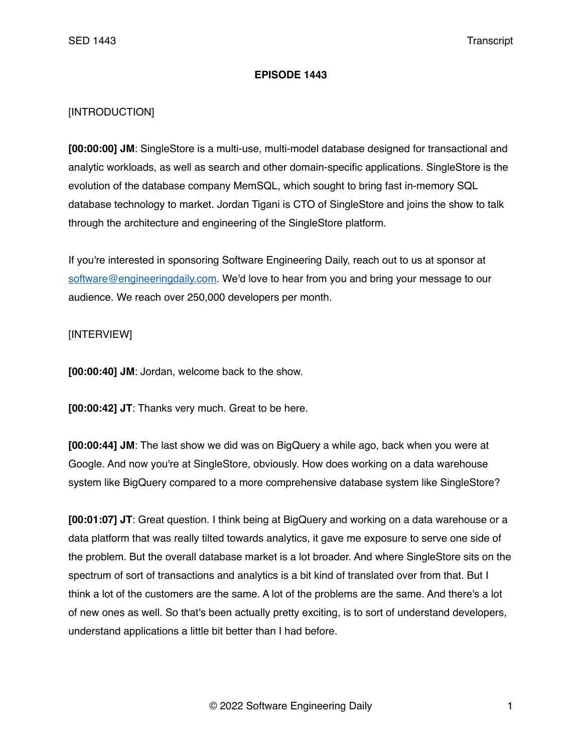## **EPISODE 1443**

## [INTRODUCTION]

**[00:00:00] JM**: SingleStore is a multi-use, multi-model database designed for transactional and analytic workloads, as well as search and other domain-specific applications. SingleStore is the evolution of the database company MemSQL, which sought to bring fast in-memory SQL database technology to market. Jordan Tigani is CTO of SingleStore and joins the show to talk through the architecture and engineering of the SingleStore platform.

If you're interested in sponsoring Software Engineering Daily, reach out to us at sponsor at [software@engineeringdaily.com.](mailto:software@engineeringdaily.com) We'd love to hear from you and bring your message to our audience. We reach over 250,000 developers per month.

## [INTERVIEW]

**[00:00:40] JM**: Jordan, welcome back to the show.

**[00:00:42] JT**: Thanks very much. Great to be here.

**[00:00:44] JM**: The last show we did was on BigQuery a while ago, back when you were at Google. And now you're at SingleStore, obviously. How does working on a data warehouse system like BigQuery compared to a more comprehensive database system like SingleStore?

**[00:01:07] JT**: Great question. I think being at BigQuery and working on a data warehouse or a data platform that was really tilted towards analytics, it gave me exposure to serve one side of the problem. But the overall database market is a lot broader. And where SingleStore sits on the spectrum of sort of transactions and analytics is a bit kind of translated over from that. But I think a lot of the customers are the same. A lot of the problems are the same. And there's a lot of new ones as well. So that's been actually pretty exciting, is to sort of understand developers, understand applications a little bit better than I had before.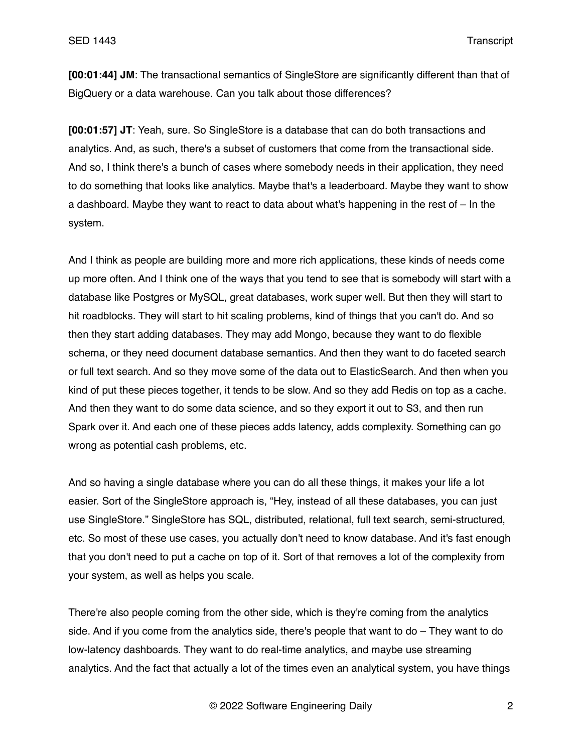**[00:01:44] JM**: The transactional semantics of SingleStore are significantly different than that of BigQuery or a data warehouse. Can you talk about those differences?

**[00:01:57] JT**: Yeah, sure. So SingleStore is a database that can do both transactions and analytics. And, as such, there's a subset of customers that come from the transactional side. And so, I think there's a bunch of cases where somebody needs in their application, they need to do something that looks like analytics. Maybe that's a leaderboard. Maybe they want to show a dashboard. Maybe they want to react to data about what's happening in the rest of – In the system.

And I think as people are building more and more rich applications, these kinds of needs come up more often. And I think one of the ways that you tend to see that is somebody will start with a database like Postgres or MySQL, great databases, work super well. But then they will start to hit roadblocks. They will start to hit scaling problems, kind of things that you can't do. And so then they start adding databases. They may add Mongo, because they want to do flexible schema, or they need document database semantics. And then they want to do faceted search or full text search. And so they move some of the data out to ElasticSearch. And then when you kind of put these pieces together, it tends to be slow. And so they add Redis on top as a cache. And then they want to do some data science, and so they export it out to S3, and then run Spark over it. And each one of these pieces adds latency, adds complexity. Something can go wrong as potential cash problems, etc.

And so having a single database where you can do all these things, it makes your life a lot easier. Sort of the SingleStore approach is, "Hey, instead of all these databases, you can just use SingleStore." SingleStore has SQL, distributed, relational, full text search, semi-structured, etc. So most of these use cases, you actually don't need to know database. And it's fast enough that you don't need to put a cache on top of it. Sort of that removes a lot of the complexity from your system, as well as helps you scale.

There're also people coming from the other side, which is they're coming from the analytics side. And if you come from the analytics side, there's people that want to do – They want to do low-latency dashboards. They want to do real-time analytics, and maybe use streaming analytics. And the fact that actually a lot of the times even an analytical system, you have things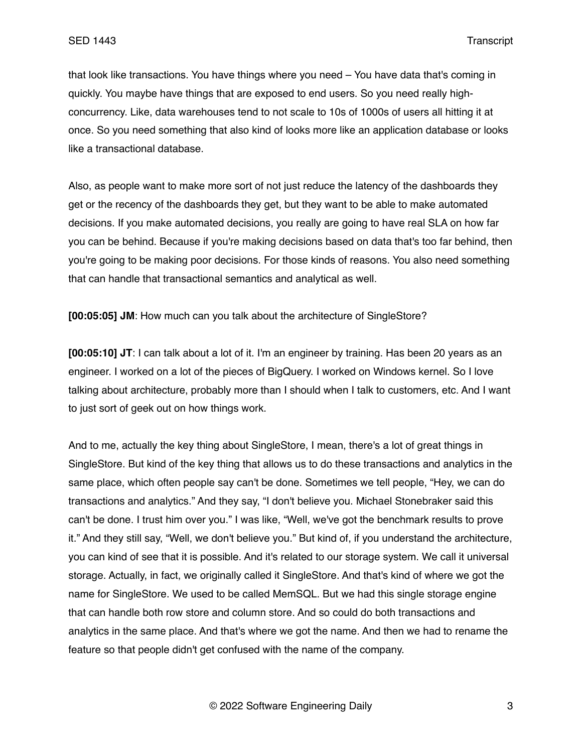that look like transactions. You have things where you need – You have data that's coming in quickly. You maybe have things that are exposed to end users. So you need really highconcurrency. Like, data warehouses tend to not scale to 10s of 1000s of users all hitting it at once. So you need something that also kind of looks more like an application database or looks like a transactional database.

Also, as people want to make more sort of not just reduce the latency of the dashboards they get or the recency of the dashboards they get, but they want to be able to make automated decisions. If you make automated decisions, you really are going to have real SLA on how far you can be behind. Because if you're making decisions based on data that's too far behind, then you're going to be making poor decisions. For those kinds of reasons. You also need something that can handle that transactional semantics and analytical as well.

**[00:05:05] JM**: How much can you talk about the architecture of SingleStore?

**[00:05:10] JT**: I can talk about a lot of it. I'm an engineer by training. Has been 20 years as an engineer. I worked on a lot of the pieces of BigQuery. I worked on Windows kernel. So I love talking about architecture, probably more than I should when I talk to customers, etc. And I want to just sort of geek out on how things work.

And to me, actually the key thing about SingleStore, I mean, there's a lot of great things in SingleStore. But kind of the key thing that allows us to do these transactions and analytics in the same place, which often people say can't be done. Sometimes we tell people, "Hey, we can do transactions and analytics." And they say, "I don't believe you. Michael Stonebraker said this can't be done. I trust him over you." I was like, "Well, we've got the benchmark results to prove it." And they still say, "Well, we don't believe you." But kind of, if you understand the architecture, you can kind of see that it is possible. And it's related to our storage system. We call it universal storage. Actually, in fact, we originally called it SingleStore. And that's kind of where we got the name for SingleStore. We used to be called MemSQL. But we had this single storage engine that can handle both row store and column store. And so could do both transactions and analytics in the same place. And that's where we got the name. And then we had to rename the feature so that people didn't get confused with the name of the company.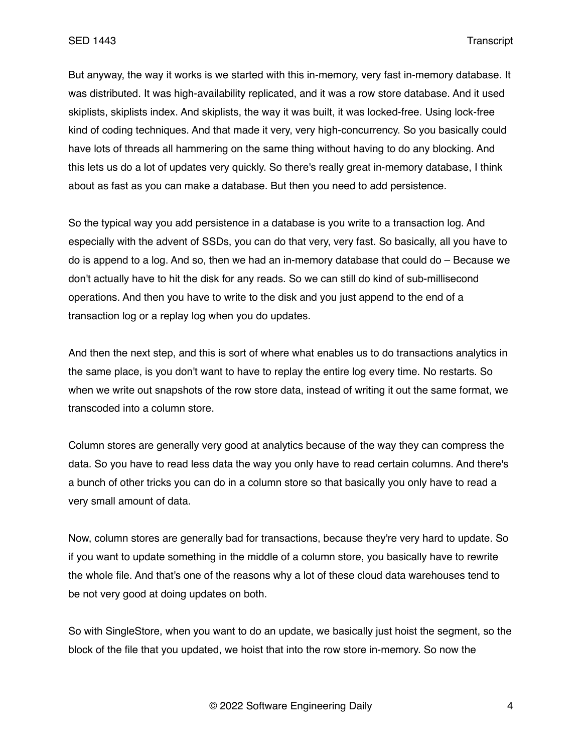But anyway, the way it works is we started with this in-memory, very fast in-memory database. It was distributed. It was high-availability replicated, and it was a row store database. And it used skiplists, skiplists index. And skiplists, the way it was built, it was locked-free. Using lock-free kind of coding techniques. And that made it very, very high-concurrency. So you basically could have lots of threads all hammering on the same thing without having to do any blocking. And this lets us do a lot of updates very quickly. So there's really great in-memory database, I think about as fast as you can make a database. But then you need to add persistence.

So the typical way you add persistence in a database is you write to a transaction log. And especially with the advent of SSDs, you can do that very, very fast. So basically, all you have to do is append to a log. And so, then we had an in-memory database that could do – Because we don't actually have to hit the disk for any reads. So we can still do kind of sub-millisecond operations. And then you have to write to the disk and you just append to the end of a transaction log or a replay log when you do updates.

And then the next step, and this is sort of where what enables us to do transactions analytics in the same place, is you don't want to have to replay the entire log every time. No restarts. So when we write out snapshots of the row store data, instead of writing it out the same format, we transcoded into a column store.

Column stores are generally very good at analytics because of the way they can compress the data. So you have to read less data the way you only have to read certain columns. And there's a bunch of other tricks you can do in a column store so that basically you only have to read a very small amount of data.

Now, column stores are generally bad for transactions, because they're very hard to update. So if you want to update something in the middle of a column store, you basically have to rewrite the whole file. And that's one of the reasons why a lot of these cloud data warehouses tend to be not very good at doing updates on both.

So with SingleStore, when you want to do an update, we basically just hoist the segment, so the block of the file that you updated, we hoist that into the row store in-memory. So now the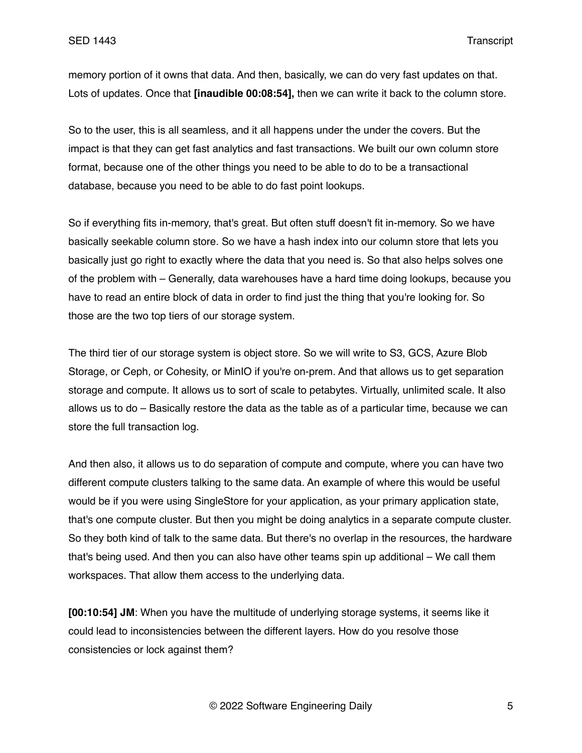memory portion of it owns that data. And then, basically, we can do very fast updates on that. Lots of updates. Once that **[inaudible 00:08:54],** then we can write it back to the column store.

So to the user, this is all seamless, and it all happens under the under the covers. But the impact is that they can get fast analytics and fast transactions. We built our own column store format, because one of the other things you need to be able to do to be a transactional database, because you need to be able to do fast point lookups.

So if everything fits in-memory, that's great. But often stuff doesn't fit in-memory. So we have basically seekable column store. So we have a hash index into our column store that lets you basically just go right to exactly where the data that you need is. So that also helps solves one of the problem with – Generally, data warehouses have a hard time doing lookups, because you have to read an entire block of data in order to find just the thing that you're looking for. So those are the two top tiers of our storage system.

The third tier of our storage system is object store. So we will write to S3, GCS, Azure Blob Storage, or Ceph, or Cohesity, or MinIO if you're on-prem. And that allows us to get separation storage and compute. It allows us to sort of scale to petabytes. Virtually, unlimited scale. It also allows us to do – Basically restore the data as the table as of a particular time, because we can store the full transaction log.

And then also, it allows us to do separation of compute and compute, where you can have two different compute clusters talking to the same data. An example of where this would be useful would be if you were using SingleStore for your application, as your primary application state, that's one compute cluster. But then you might be doing analytics in a separate compute cluster. So they both kind of talk to the same data. But there's no overlap in the resources, the hardware that's being used. And then you can also have other teams spin up additional – We call them workspaces. That allow them access to the underlying data.

**[00:10:54] JM**: When you have the multitude of underlying storage systems, it seems like it could lead to inconsistencies between the different layers. How do you resolve those consistencies or lock against them?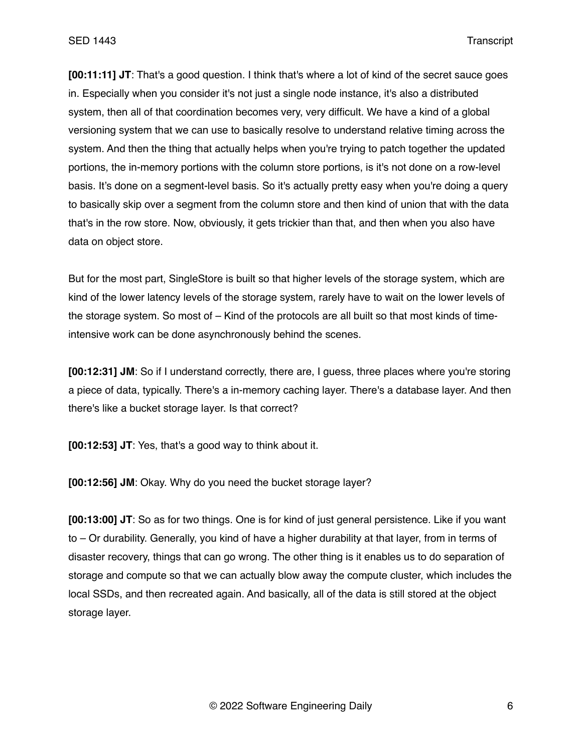**[00:11:11] JT**: That's a good question. I think that's where a lot of kind of the secret sauce goes in. Especially when you consider it's not just a single node instance, it's also a distributed system, then all of that coordination becomes very, very difficult. We have a kind of a global versioning system that we can use to basically resolve to understand relative timing across the system. And then the thing that actually helps when you're trying to patch together the updated portions, the in-memory portions with the column store portions, is it's not done on a row-level basis. It's done on a segment-level basis. So it's actually pretty easy when you're doing a query to basically skip over a segment from the column store and then kind of union that with the data that's in the row store. Now, obviously, it gets trickier than that, and then when you also have data on object store.

But for the most part, SingleStore is built so that higher levels of the storage system, which are kind of the lower latency levels of the storage system, rarely have to wait on the lower levels of the storage system. So most of – Kind of the protocols are all built so that most kinds of timeintensive work can be done asynchronously behind the scenes.

**[00:12:31] JM**: So if I understand correctly, there are, I guess, three places where you're storing a piece of data, typically. There's a in-memory caching layer. There's a database layer. And then there's like a bucket storage layer. Is that correct?

**[00:12:53] JT**: Yes, that's a good way to think about it.

**[00:12:56] JM**: Okay. Why do you need the bucket storage layer?

**[00:13:00] JT**: So as for two things. One is for kind of just general persistence. Like if you want to – Or durability. Generally, you kind of have a higher durability at that layer, from in terms of disaster recovery, things that can go wrong. The other thing is it enables us to do separation of storage and compute so that we can actually blow away the compute cluster, which includes the local SSDs, and then recreated again. And basically, all of the data is still stored at the object storage layer.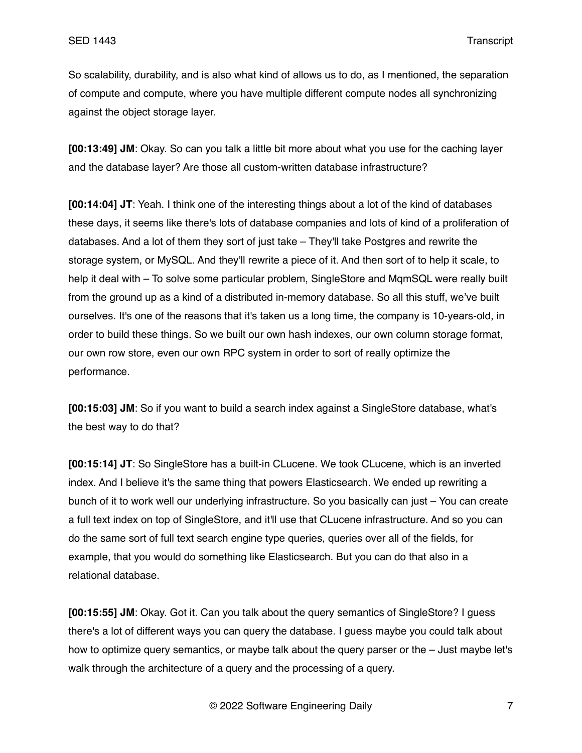So scalability, durability, and is also what kind of allows us to do, as I mentioned, the separation of compute and compute, where you have multiple different compute nodes all synchronizing against the object storage layer.

**[00:13:49] JM**: Okay. So can you talk a little bit more about what you use for the caching layer and the database layer? Are those all custom-written database infrastructure?

**[00:14:04] JT**: Yeah. I think one of the interesting things about a lot of the kind of databases these days, it seems like there's lots of database companies and lots of kind of a proliferation of databases. And a lot of them they sort of just take – They'll take Postgres and rewrite the storage system, or MySQL. And they'll rewrite a piece of it. And then sort of to help it scale, to help it deal with – To solve some particular problem, SingleStore and MgmSQL were really built from the ground up as a kind of a distributed in-memory database. So all this stuff, we've built ourselves. It's one of the reasons that it's taken us a long time, the company is 10-years-old, in order to build these things. So we built our own hash indexes, our own column storage format, our own row store, even our own RPC system in order to sort of really optimize the performance.

**[00:15:03] JM**: So if you want to build a search index against a SingleStore database, what's the best way to do that?

**[00:15:14] JT**: So SingleStore has a built-in CLucene. We took CLucene, which is an inverted index. And I believe it's the same thing that powers Elasticsearch. We ended up rewriting a bunch of it to work well our underlying infrastructure. So you basically can just – You can create a full text index on top of SingleStore, and it'll use that CLucene infrastructure. And so you can do the same sort of full text search engine type queries, queries over all of the fields, for example, that you would do something like Elasticsearch. But you can do that also in a relational database.

**[00:15:55] JM**: Okay. Got it. Can you talk about the query semantics of SingleStore? I guess there's a lot of different ways you can query the database. I guess maybe you could talk about how to optimize query semantics, or maybe talk about the query parser or the – Just maybe let's walk through the architecture of a query and the processing of a query.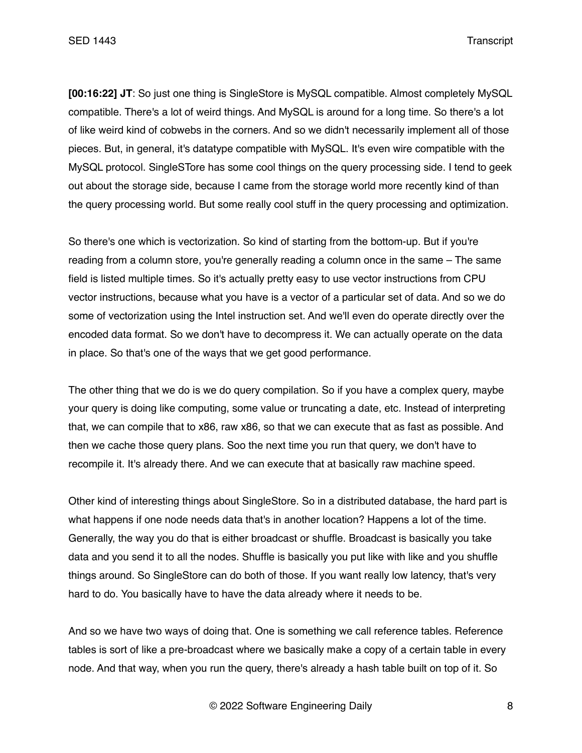**[00:16:22] JT**: So just one thing is SingleStore is MySQL compatible. Almost completely MySQL compatible. There's a lot of weird things. And MySQL is around for a long time. So there's a lot of like weird kind of cobwebs in the corners. And so we didn't necessarily implement all of those pieces. But, in general, it's datatype compatible with MySQL. It's even wire compatible with the MySQL protocol. SingleSTore has some cool things on the query processing side. I tend to geek out about the storage side, because I came from the storage world more recently kind of than the query processing world. But some really cool stuff in the query processing and optimization.

So there's one which is vectorization. So kind of starting from the bottom-up. But if you're reading from a column store, you're generally reading a column once in the same – The same field is listed multiple times. So it's actually pretty easy to use vector instructions from CPU vector instructions, because what you have is a vector of a particular set of data. And so we do some of vectorization using the Intel instruction set. And we'll even do operate directly over the encoded data format. So we don't have to decompress it. We can actually operate on the data in place. So that's one of the ways that we get good performance.

The other thing that we do is we do query compilation. So if you have a complex query, maybe your query is doing like computing, some value or truncating a date, etc. Instead of interpreting that, we can compile that to x86, raw x86, so that we can execute that as fast as possible. And then we cache those query plans. Soo the next time you run that query, we don't have to recompile it. It's already there. And we can execute that at basically raw machine speed.

Other kind of interesting things about SingleStore. So in a distributed database, the hard part is what happens if one node needs data that's in another location? Happens a lot of the time. Generally, the way you do that is either broadcast or shuffle. Broadcast is basically you take data and you send it to all the nodes. Shuffle is basically you put like with like and you shuffle things around. So SingleStore can do both of those. If you want really low latency, that's very hard to do. You basically have to have the data already where it needs to be.

And so we have two ways of doing that. One is something we call reference tables. Reference tables is sort of like a pre-broadcast where we basically make a copy of a certain table in every node. And that way, when you run the query, there's already a hash table built on top of it. So

© 2022 Software Engineering Daily 8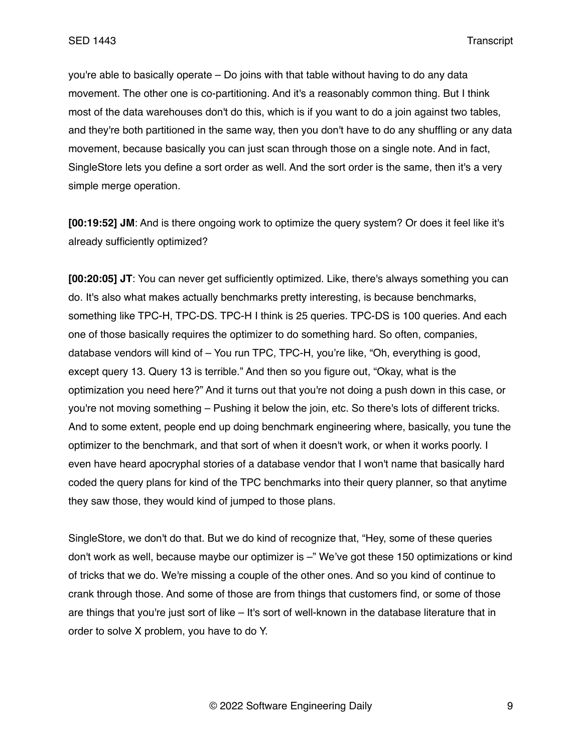you're able to basically operate – Do joins with that table without having to do any data movement. The other one is co-partitioning. And it's a reasonably common thing. But I think most of the data warehouses don't do this, which is if you want to do a join against two tables, and they're both partitioned in the same way, then you don't have to do any shuffling or any data movement, because basically you can just scan through those on a single note. And in fact, SingleStore lets you define a sort order as well. And the sort order is the same, then it's a very simple merge operation.

**[00:19:52] JM**: And is there ongoing work to optimize the query system? Or does it feel like it's already sufficiently optimized?

**[00:20:05] JT**: You can never get sufficiently optimized. Like, there's always something you can do. It's also what makes actually benchmarks pretty interesting, is because benchmarks, something like TPC-H, TPC-DS. TPC-H I think is 25 queries. TPC-DS is 100 queries. And each one of those basically requires the optimizer to do something hard. So often, companies, database vendors will kind of – You run TPC, TPC-H, you're like, "Oh, everything is good, except query 13. Query 13 is terrible." And then so you figure out, "Okay, what is the optimization you need here?" And it turns out that you're not doing a push down in this case, or you're not moving something – Pushing it below the join, etc. So there's lots of different tricks. And to some extent, people end up doing benchmark engineering where, basically, you tune the optimizer to the benchmark, and that sort of when it doesn't work, or when it works poorly. I even have heard apocryphal stories of a database vendor that I won't name that basically hard coded the query plans for kind of the TPC benchmarks into their query planner, so that anytime they saw those, they would kind of jumped to those plans.

SingleStore, we don't do that. But we do kind of recognize that, "Hey, some of these queries don't work as well, because maybe our optimizer is –" We've got these 150 optimizations or kind of tricks that we do. We're missing a couple of the other ones. And so you kind of continue to crank through those. And some of those are from things that customers find, or some of those are things that you're just sort of like – It's sort of well-known in the database literature that in order to solve X problem, you have to do Y.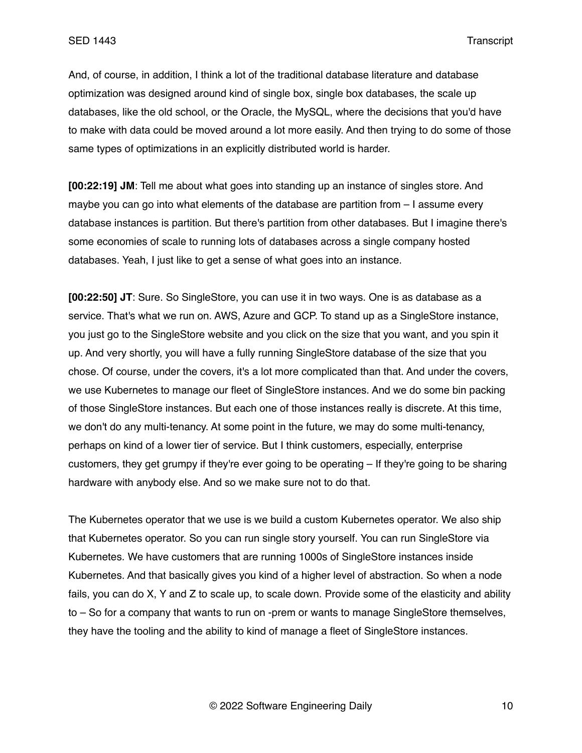And, of course, in addition, I think a lot of the traditional database literature and database optimization was designed around kind of single box, single box databases, the scale up databases, like the old school, or the Oracle, the MySQL, where the decisions that you'd have to make with data could be moved around a lot more easily. And then trying to do some of those same types of optimizations in an explicitly distributed world is harder.

**[00:22:19] JM**: Tell me about what goes into standing up an instance of singles store. And maybe you can go into what elements of the database are partition from – I assume every database instances is partition. But there's partition from other databases. But I imagine there's some economies of scale to running lots of databases across a single company hosted databases. Yeah, I just like to get a sense of what goes into an instance.

**[00:22:50] JT**: Sure. So SingleStore, you can use it in two ways. One is as database as a service. That's what we run on. AWS, Azure and GCP. To stand up as a SingleStore instance, you just go to the SingleStore website and you click on the size that you want, and you spin it up. And very shortly, you will have a fully running SingleStore database of the size that you chose. Of course, under the covers, it's a lot more complicated than that. And under the covers, we use Kubernetes to manage our fleet of SingleStore instances. And we do some bin packing of those SingleStore instances. But each one of those instances really is discrete. At this time, we don't do any multi-tenancy. At some point in the future, we may do some multi-tenancy, perhaps on kind of a lower tier of service. But I think customers, especially, enterprise customers, they get grumpy if they're ever going to be operating – If they're going to be sharing hardware with anybody else. And so we make sure not to do that.

The Kubernetes operator that we use is we build a custom Kubernetes operator. We also ship that Kubernetes operator. So you can run single story yourself. You can run SingleStore via Kubernetes. We have customers that are running 1000s of SingleStore instances inside Kubernetes. And that basically gives you kind of a higher level of abstraction. So when a node fails, you can do X, Y and Z to scale up, to scale down. Provide some of the elasticity and ability to – So for a company that wants to run on -prem or wants to manage SingleStore themselves, they have the tooling and the ability to kind of manage a fleet of SingleStore instances.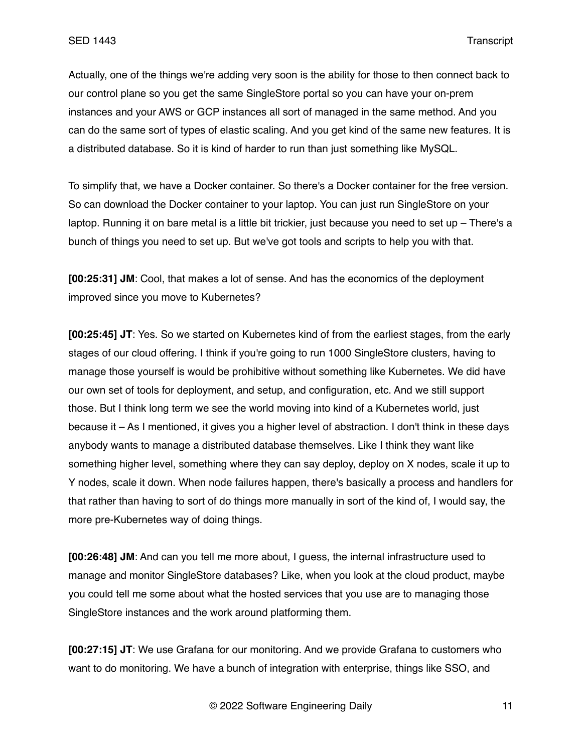Actually, one of the things we're adding very soon is the ability for those to then connect back to our control plane so you get the same SingleStore portal so you can have your on-prem instances and your AWS or GCP instances all sort of managed in the same method. And you can do the same sort of types of elastic scaling. And you get kind of the same new features. It is a distributed database. So it is kind of harder to run than just something like MySQL.

To simplify that, we have a Docker container. So there's a Docker container for the free version. So can download the Docker container to your laptop. You can just run SingleStore on your laptop. Running it on bare metal is a little bit trickier, just because you need to set up – There's a bunch of things you need to set up. But we've got tools and scripts to help you with that.

**[00:25:31] JM**: Cool, that makes a lot of sense. And has the economics of the deployment improved since you move to Kubernetes?

**[00:25:45] JT**: Yes. So we started on Kubernetes kind of from the earliest stages, from the early stages of our cloud offering. I think if you're going to run 1000 SingleStore clusters, having to manage those yourself is would be prohibitive without something like Kubernetes. We did have our own set of tools for deployment, and setup, and configuration, etc. And we still support those. But I think long term we see the world moving into kind of a Kubernetes world, just because it – As I mentioned, it gives you a higher level of abstraction. I don't think in these days anybody wants to manage a distributed database themselves. Like I think they want like something higher level, something where they can say deploy, deploy on X nodes, scale it up to Y nodes, scale it down. When node failures happen, there's basically a process and handlers for that rather than having to sort of do things more manually in sort of the kind of, I would say, the more pre-Kubernetes way of doing things.

**[00:26:48] JM**: And can you tell me more about, I guess, the internal infrastructure used to manage and monitor SingleStore databases? Like, when you look at the cloud product, maybe you could tell me some about what the hosted services that you use are to managing those SingleStore instances and the work around platforming them.

**[00:27:15] JT**: We use Grafana for our monitoring. And we provide Grafana to customers who want to do monitoring. We have a bunch of integration with enterprise, things like SSO, and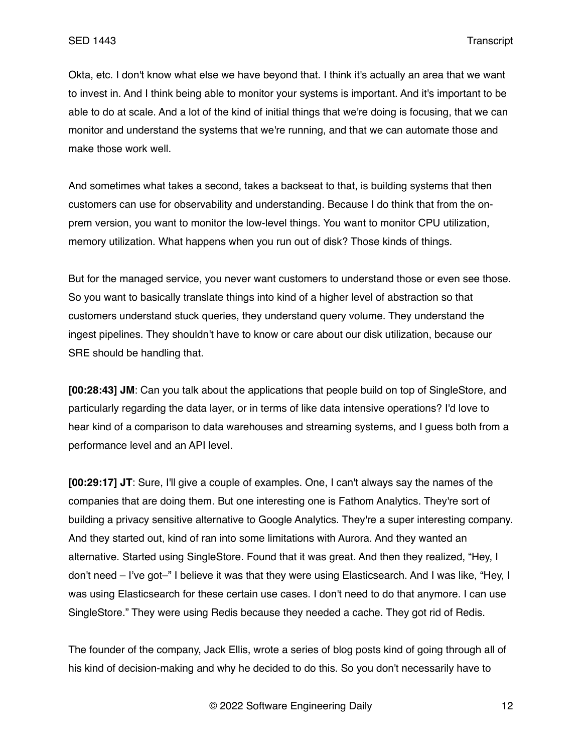Okta, etc. I don't know what else we have beyond that. I think it's actually an area that we want to invest in. And I think being able to monitor your systems is important. And it's important to be able to do at scale. And a lot of the kind of initial things that we're doing is focusing, that we can monitor and understand the systems that we're running, and that we can automate those and make those work well.

And sometimes what takes a second, takes a backseat to that, is building systems that then customers can use for observability and understanding. Because I do think that from the onprem version, you want to monitor the low-level things. You want to monitor CPU utilization, memory utilization. What happens when you run out of disk? Those kinds of things.

But for the managed service, you never want customers to understand those or even see those. So you want to basically translate things into kind of a higher level of abstraction so that customers understand stuck queries, they understand query volume. They understand the ingest pipelines. They shouldn't have to know or care about our disk utilization, because our SRE should be handling that.

**[00:28:43] JM**: Can you talk about the applications that people build on top of SingleStore, and particularly regarding the data layer, or in terms of like data intensive operations? I'd love to hear kind of a comparison to data warehouses and streaming systems, and I guess both from a performance level and an API level.

**[00:29:17] JT**: Sure, I'll give a couple of examples. One, I can't always say the names of the companies that are doing them. But one interesting one is Fathom Analytics. They're sort of building a privacy sensitive alternative to Google Analytics. They're a super interesting company. And they started out, kind of ran into some limitations with Aurora. And they wanted an alternative. Started using SingleStore. Found that it was great. And then they realized, "Hey, I don't need – I've got–" I believe it was that they were using Elasticsearch. And I was like, "Hey, I was using Elasticsearch for these certain use cases. I don't need to do that anymore. I can use SingleStore." They were using Redis because they needed a cache. They got rid of Redis.

The founder of the company, Jack Ellis, wrote a series of blog posts kind of going through all of his kind of decision-making and why he decided to do this. So you don't necessarily have to

© 2022 Software Engineering Daily 12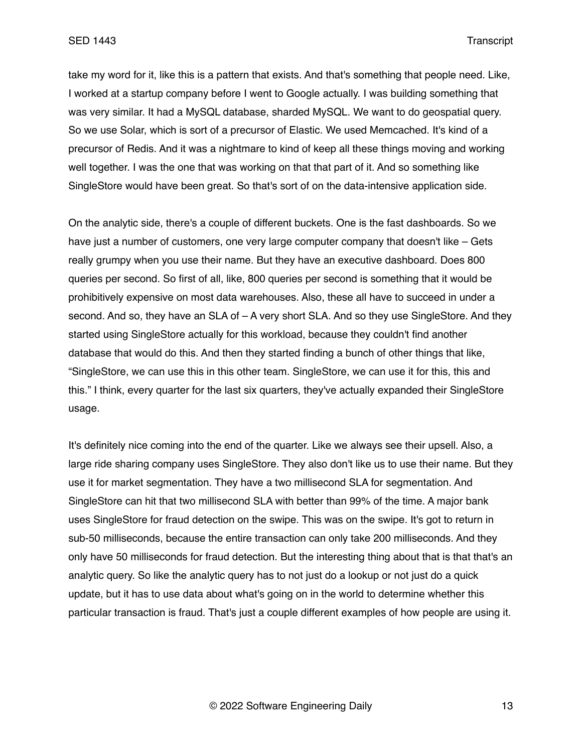take my word for it, like this is a pattern that exists. And that's something that people need. Like, I worked at a startup company before I went to Google actually. I was building something that was very similar. It had a MySQL database, sharded MySQL. We want to do geospatial query. So we use Solar, which is sort of a precursor of Elastic. We used Memcached. It's kind of a precursor of Redis. And it was a nightmare to kind of keep all these things moving and working well together. I was the one that was working on that that part of it. And so something like SingleStore would have been great. So that's sort of on the data-intensive application side.

On the analytic side, there's a couple of different buckets. One is the fast dashboards. So we have just a number of customers, one very large computer company that doesn't like – Gets really grumpy when you use their name. But they have an executive dashboard. Does 800 queries per second. So first of all, like, 800 queries per second is something that it would be prohibitively expensive on most data warehouses. Also, these all have to succeed in under a second. And so, they have an SLA of – A very short SLA. And so they use SingleStore. And they started using SingleStore actually for this workload, because they couldn't find another database that would do this. And then they started finding a bunch of other things that like, "SingleStore, we can use this in this other team. SingleStore, we can use it for this, this and this." I think, every quarter for the last six quarters, they've actually expanded their SingleStore usage.

It's definitely nice coming into the end of the quarter. Like we always see their upsell. Also, a large ride sharing company uses SingleStore. They also don't like us to use their name. But they use it for market segmentation. They have a two millisecond SLA for segmentation. And SingleStore can hit that two millisecond SLA with better than 99% of the time. A major bank uses SingleStore for fraud detection on the swipe. This was on the swipe. It's got to return in sub-50 milliseconds, because the entire transaction can only take 200 milliseconds. And they only have 50 milliseconds for fraud detection. But the interesting thing about that is that that's an analytic query. So like the analytic query has to not just do a lookup or not just do a quick update, but it has to use data about what's going on in the world to determine whether this particular transaction is fraud. That's just a couple different examples of how people are using it.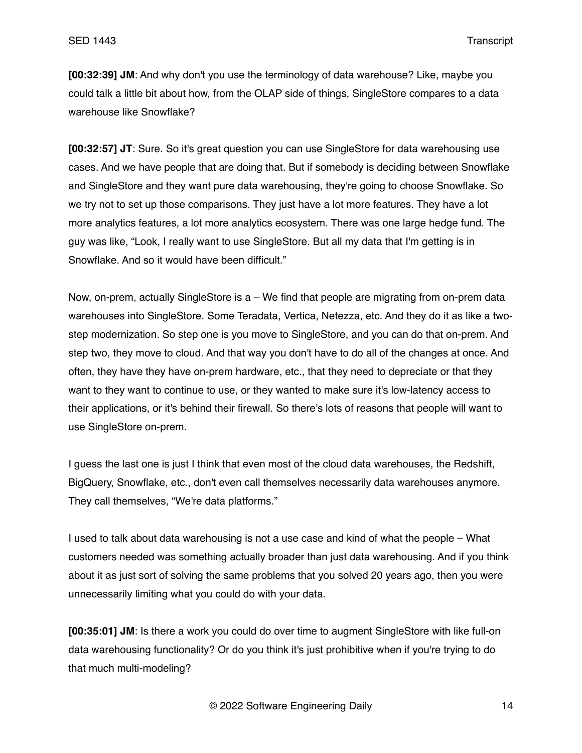**[00:32:39] JM**: And why don't you use the terminology of data warehouse? Like, maybe you could talk a little bit about how, from the OLAP side of things, SingleStore compares to a data warehouse like Snowflake?

**[00:32:57] JT**: Sure. So it's great question you can use SingleStore for data warehousing use cases. And we have people that are doing that. But if somebody is deciding between Snowflake and SingleStore and they want pure data warehousing, they're going to choose Snowflake. So we try not to set up those comparisons. They just have a lot more features. They have a lot more analytics features, a lot more analytics ecosystem. There was one large hedge fund. The guy was like, "Look, I really want to use SingleStore. But all my data that I'm getting is in Snowflake. And so it would have been difficult."

Now, on-prem, actually SingleStore is a – We find that people are migrating from on-prem data warehouses into SingleStore. Some Teradata, Vertica, Netezza, etc. And they do it as like a twostep modernization. So step one is you move to SingleStore, and you can do that on-prem. And step two, they move to cloud. And that way you don't have to do all of the changes at once. And often, they have they have on-prem hardware, etc., that they need to depreciate or that they want to they want to continue to use, or they wanted to make sure it's low-latency access to their applications, or it's behind their firewall. So there's lots of reasons that people will want to use SingleStore on-prem.

I guess the last one is just I think that even most of the cloud data warehouses, the Redshift, BigQuery, Snowflake, etc., don't even call themselves necessarily data warehouses anymore. They call themselves, "We're data platforms."

I used to talk about data warehousing is not a use case and kind of what the people – What customers needed was something actually broader than just data warehousing. And if you think about it as just sort of solving the same problems that you solved 20 years ago, then you were unnecessarily limiting what you could do with your data.

**[00:35:01] JM**: Is there a work you could do over time to augment SingleStore with like full-on data warehousing functionality? Or do you think it's just prohibitive when if you're trying to do that much multi-modeling?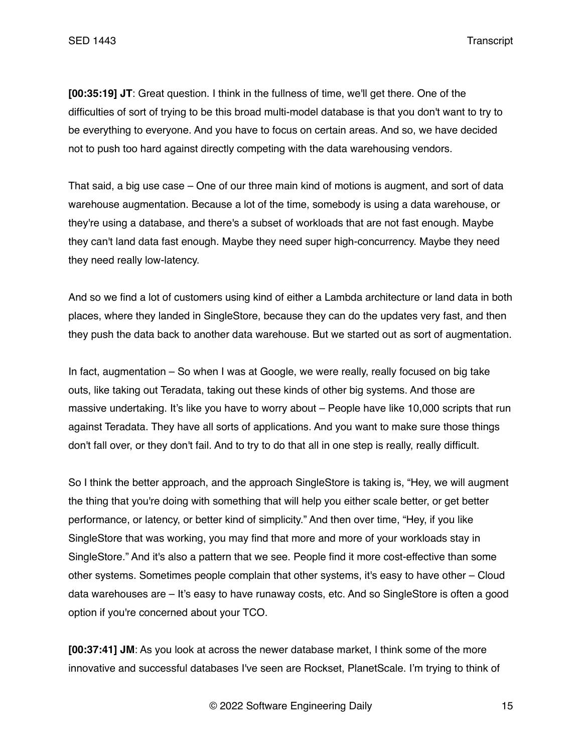**[00:35:19] JT**: Great question. I think in the fullness of time, we'll get there. One of the difficulties of sort of trying to be this broad multi-model database is that you don't want to try to be everything to everyone. And you have to focus on certain areas. And so, we have decided not to push too hard against directly competing with the data warehousing vendors.

That said, a big use case – One of our three main kind of motions is augment, and sort of data warehouse augmentation. Because a lot of the time, somebody is using a data warehouse, or they're using a database, and there's a subset of workloads that are not fast enough. Maybe they can't land data fast enough. Maybe they need super high-concurrency. Maybe they need they need really low-latency.

And so we find a lot of customers using kind of either a Lambda architecture or land data in both places, where they landed in SingleStore, because they can do the updates very fast, and then they push the data back to another data warehouse. But we started out as sort of augmentation.

In fact, augmentation – So when I was at Google, we were really, really focused on big take outs, like taking out Teradata, taking out these kinds of other big systems. And those are massive undertaking. It's like you have to worry about – People have like 10,000 scripts that run against Teradata. They have all sorts of applications. And you want to make sure those things don't fall over, or they don't fail. And to try to do that all in one step is really, really difficult.

So I think the better approach, and the approach SingleStore is taking is, "Hey, we will augment the thing that you're doing with something that will help you either scale better, or get better performance, or latency, or better kind of simplicity." And then over time, "Hey, if you like SingleStore that was working, you may find that more and more of your workloads stay in SingleStore." And it's also a pattern that we see. People find it more cost-effective than some other systems. Sometimes people complain that other systems, it's easy to have other – Cloud data warehouses are – It's easy to have runaway costs, etc. And so SingleStore is often a good option if you're concerned about your TCO.

**[00:37:41] JM**: As you look at across the newer database market, I think some of the more innovative and successful databases I've seen are Rockset, PlanetScale. I'm trying to think of

© 2022 Software Engineering Daily 15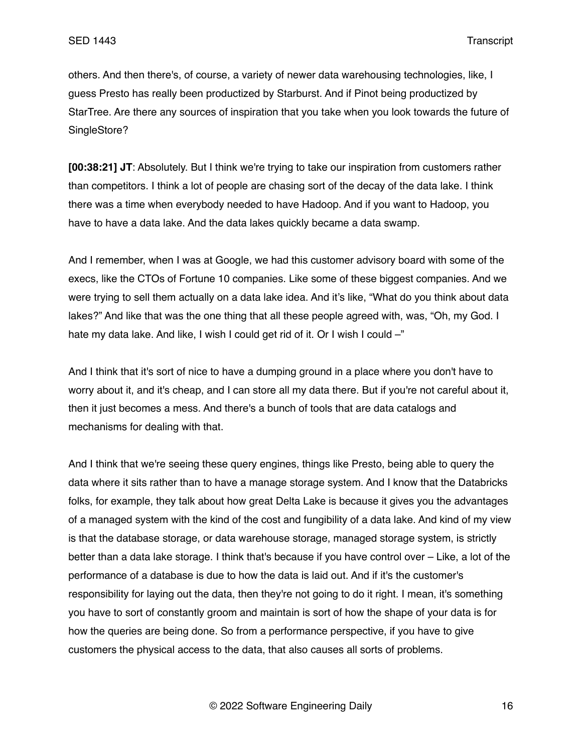others. And then there's, of course, a variety of newer data warehousing technologies, like, I guess Presto has really been productized by Starburst. And if Pinot being productized by StarTree. Are there any sources of inspiration that you take when you look towards the future of SingleStore?

**[00:38:21] JT**: Absolutely. But I think we're trying to take our inspiration from customers rather than competitors. I think a lot of people are chasing sort of the decay of the data lake. I think there was a time when everybody needed to have Hadoop. And if you want to Hadoop, you have to have a data lake. And the data lakes quickly became a data swamp.

And I remember, when I was at Google, we had this customer advisory board with some of the execs, like the CTOs of Fortune 10 companies. Like some of these biggest companies. And we were trying to sell them actually on a data lake idea. And it's like, "What do you think about data lakes?" And like that was the one thing that all these people agreed with, was, "Oh, my God. I hate my data lake. And like, I wish I could get rid of it. Or I wish I could -"

And I think that it's sort of nice to have a dumping ground in a place where you don't have to worry about it, and it's cheap, and I can store all my data there. But if you're not careful about it, then it just becomes a mess. And there's a bunch of tools that are data catalogs and mechanisms for dealing with that.

And I think that we're seeing these query engines, things like Presto, being able to query the data where it sits rather than to have a manage storage system. And I know that the Databricks folks, for example, they talk about how great Delta Lake is because it gives you the advantages of a managed system with the kind of the cost and fungibility of a data lake. And kind of my view is that the database storage, or data warehouse storage, managed storage system, is strictly better than a data lake storage. I think that's because if you have control over – Like, a lot of the performance of a database is due to how the data is laid out. And if it's the customer's responsibility for laying out the data, then they're not going to do it right. I mean, it's something you have to sort of constantly groom and maintain is sort of how the shape of your data is for how the queries are being done. So from a performance perspective, if you have to give customers the physical access to the data, that also causes all sorts of problems.